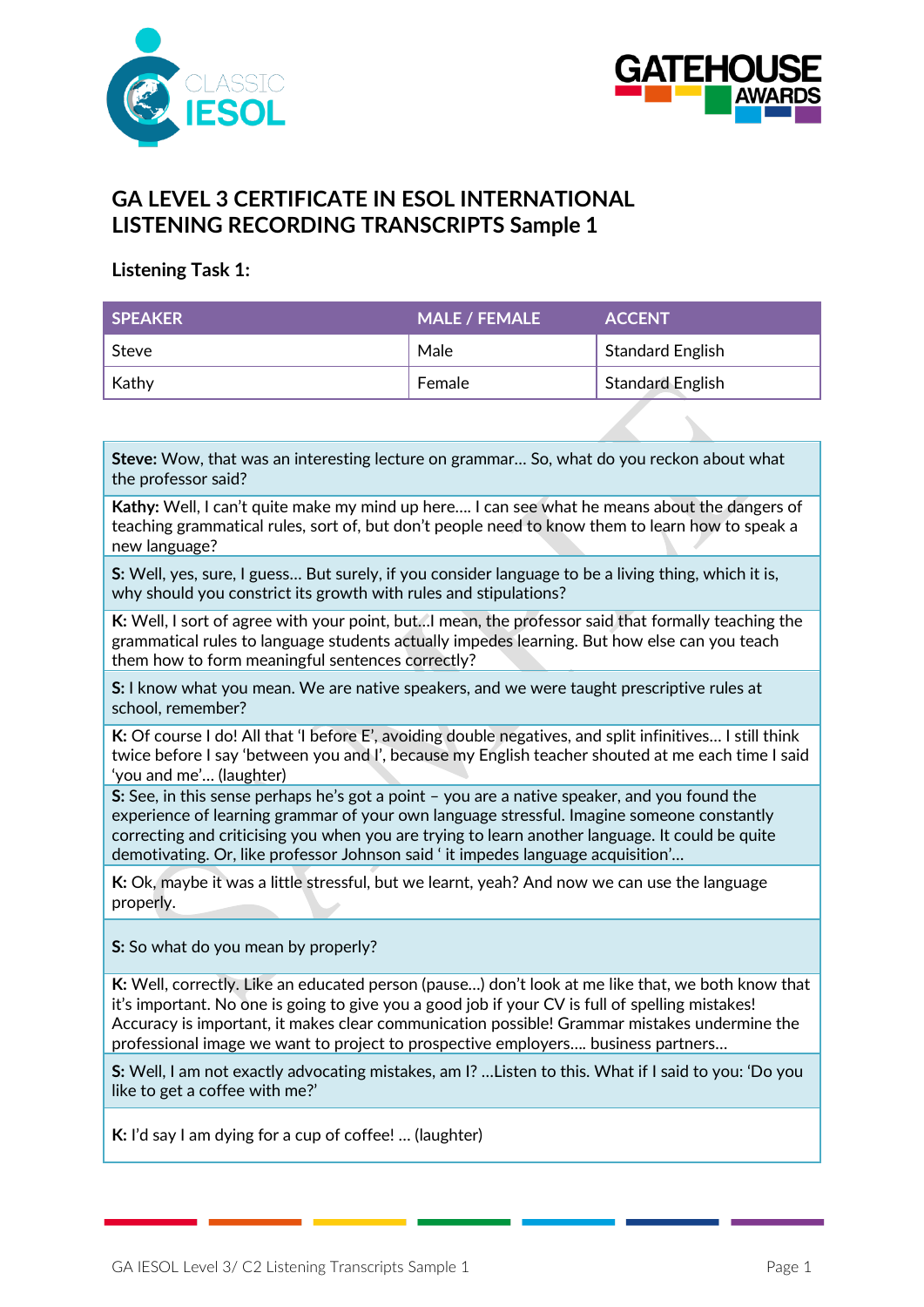



# **GA LEVEL 3 CERTIFICATE IN ESOL INTERNATIONAL LISTENING RECORDING TRANSCRIPTS Sample 1**

### **Listening Task 1:**

| <b>SPEAKER</b> | <b>MALE / FEMALE</b> | <b>ACCENT</b>           |
|----------------|----------------------|-------------------------|
| Steve          | Male                 | <b>Standard English</b> |
| Kathy          | Female               | <b>Standard English</b> |

**Steve:** Wow, that was an interesting lecture on grammar… So, what do you reckon about what the professor said?

**Kathy:** Well, I can't quite make my mind up here…. I can see what he means about the dangers of teaching grammatical rules, sort of, but don't people need to know them to learn how to speak a new language?

**S:** Well, yes, sure, I guess… But surely, if you consider language to be a living thing, which it is, why should you constrict its growth with rules and stipulations?

**K:** Well, I sort of agree with your point, but…I mean, the professor said that formally teaching the grammatical rules to language students actually impedes learning. But how else can you teach them how to form meaningful sentences correctly?

**S:** I know what you mean. We are native speakers, and we were taught prescriptive rules at school, remember?

**K:** Of course I do! All that 'I before E', avoiding double negatives, and split infinitives… I still think twice before I say 'between you and I', because my English teacher shouted at me each time I said 'you and me'… (laughter)

**S:** See, in this sense perhaps he's got a point – you are a native speaker, and you found the experience of learning grammar of your own language stressful. Imagine someone constantly correcting and criticising you when you are trying to learn another language. It could be quite demotivating. Or, like professor Johnson said ' it impedes language acquisition'…

**K:** Ok, maybe it was a little stressful, but we learnt, yeah? And now we can use the language properly.

**S:** So what do you mean by properly?

**K:** Well, correctly. Like an educated person (pause…) don't look at me like that, we both know that it's important. No one is going to give you a good job if your CV is full of spelling mistakes! Accuracy is important, it makes clear communication possible! Grammar mistakes undermine the professional image we want to project to prospective employers…. business partners…

**S:** Well, I am not exactly advocating mistakes, am I? …Listen to this. What if I said to you: 'Do you like to get a coffee with me?'

**K:** I'd say I am dying for a cup of coffee! … (laughter)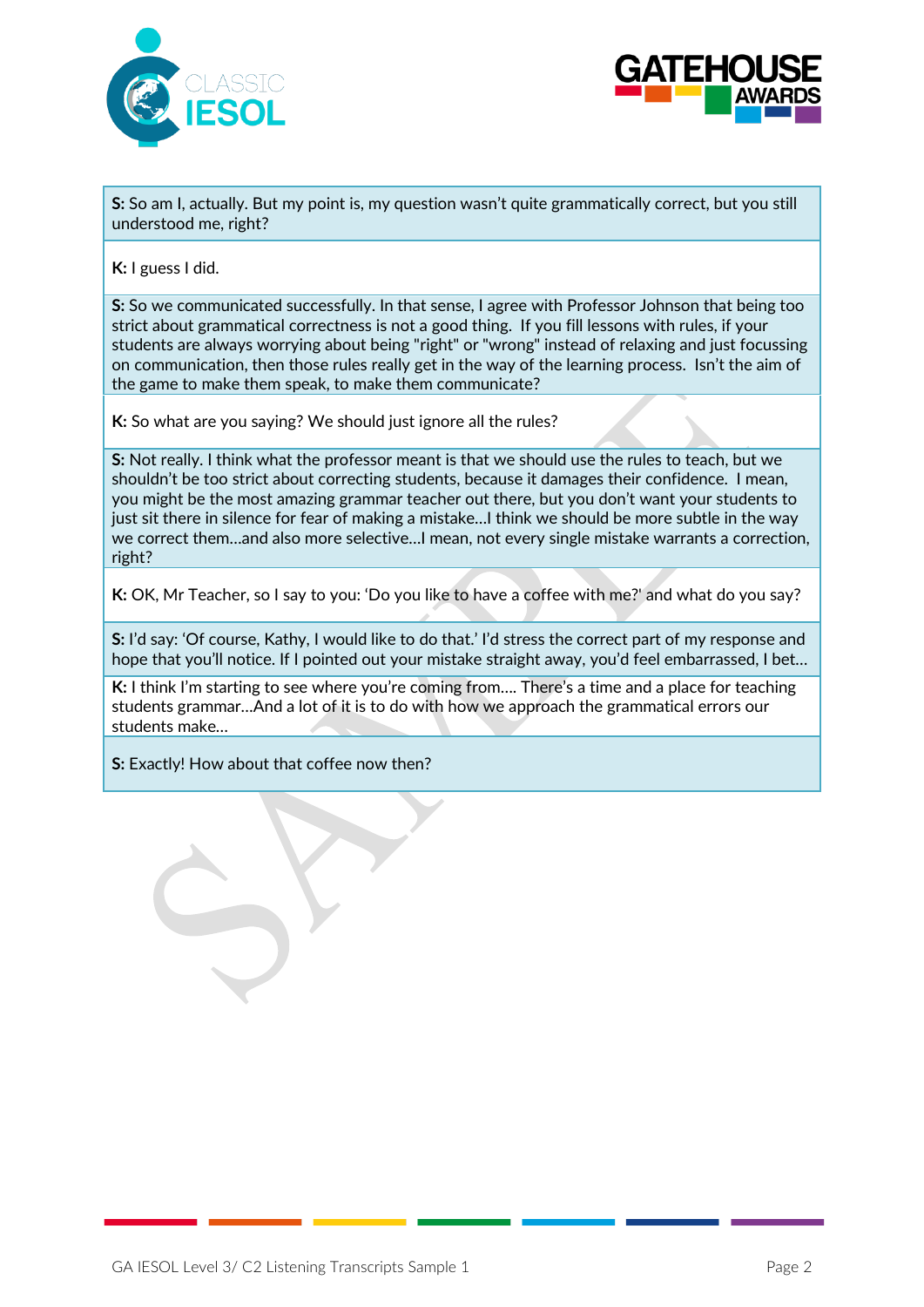



**S:** So am I, actually. But my point is, my question wasn't quite grammatically correct, but you still understood me, right?

**K:** I guess I did.

**S:** So we communicated successfully. In that sense, I agree with Professor Johnson that being too strict about grammatical correctness is not a good thing. If you fill lessons with rules, if your students are always worrying about being "right" or "wrong" instead of relaxing and just focussing on communication, then those rules really get in the way of the learning process. Isn't the aim of the game to make them speak, to make them communicate?

**K:** So what are you saying? We should just ignore all the rules?

**S:** Not really. I think what the professor meant is that we should use the rules to teach, but we shouldn't be too strict about correcting students, because it damages their confidence. I mean, you might be the most amazing grammar teacher out there, but you don't want your students to just sit there in silence for fear of making a mistake…I think we should be more subtle in the way we correct them…and also more selective…I mean, not every single mistake warrants a correction, right?

**K:** OK, Mr Teacher, so I say to you: 'Do you like to have a coffee with me?' and what do you say?

**S:** I'd say: 'Of course, Kathy, I would like to do that.' I'd stress the correct part of my response and hope that you'll notice. If I pointed out your mistake straight away, you'd feel embarrassed, I bet...

**K:** I think I'm starting to see where you're coming from.... There's a time and a place for teaching students grammar…And a lot of it is to do with how we approach the grammatical errors our students make…

**S:** Exactly! How about that coffee now then?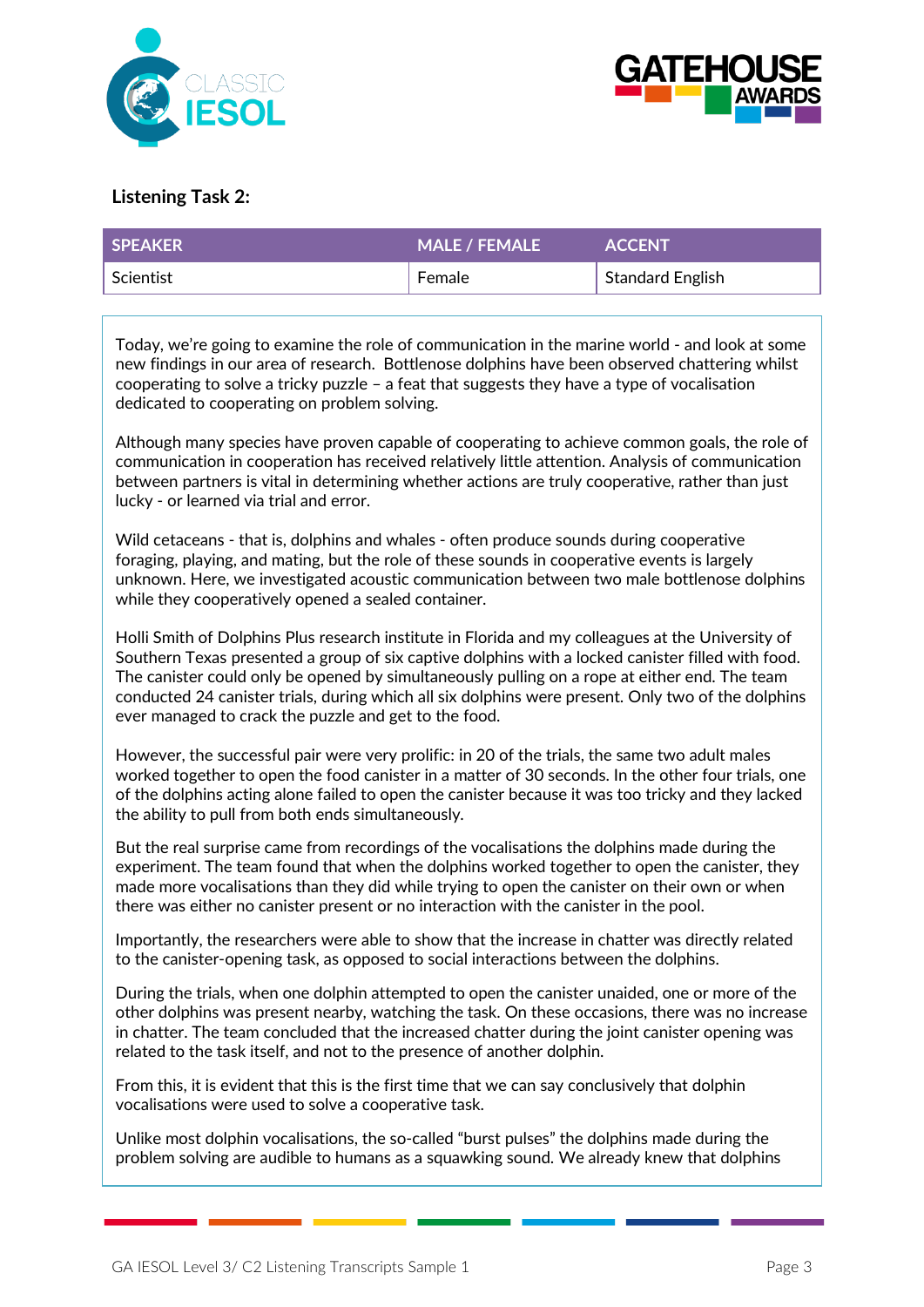



### **Listening Task 2:**

| SPEAKER   | <b>MALE / FEMALE</b> | <b>ACCENT</b>    |
|-----------|----------------------|------------------|
| Scientist | <b>Female</b>        | Standard English |

Today, we're going to examine the role of communication in the marine world - and look at some new findings in our area of research. Bottlenose dolphins have been observed chattering whilst cooperating to solve a tricky puzzle – a feat that suggests they have a type of vocalisation dedicated to cooperating on problem solving.

Although many species have proven capable of cooperating to achieve common goals, the role of communication in cooperation has received relatively little attention. Analysis of communication between partners is vital in determining whether actions are truly cooperative, rather than just lucky - or learned via trial and error.

Wild cetaceans - that is, dolphins and whales - often produce sounds during cooperative foraging, playing, and mating, but the role of these sounds in cooperative events is largely unknown. Here, we investigated acoustic communication between two male bottlenose dolphins while they cooperatively opened a sealed container.

[Holli Smith](http://www.dolphinsplus.com/meet_team.php) of Dolphins Plus research institute in Florida and my colleagues at the University of Southern Texas presented a group of six captive dolphins with a locked canister filled with food. The canister could only be opened by simultaneously pulling on a rope at either end. The team conducted 24 canister trials, during which all six dolphins were present. Only two of the dolphins ever managed to crack the puzzle and get to the food.

However, the successful pair were very prolific: in 20 of the trials, the same two adult males worked together to open the food canister in a matter of 30 seconds. In the other four trials, one of the dolphins acting alone failed to open the canister because it was too tricky and they lacked the ability to pull from both ends simultaneously.

But the real surprise came from recordings of the vocalisations the dolphins made during the experiment. The team found that when the dolphins worked together to open the canister, they made more vocalisations than they did while trying to open the canister on their own or when there was either no canister present or no interaction with the canister in the pool.

Importantly, the researchers were able to show that the increase in chatter was directly related to the canister-opening task, as opposed to social interactions between the dolphins.

During the trials, when one dolphin attempted to open the canister unaided, one or more of the other dolphins was present nearby, watching the task. On these occasions, there was no increase in chatter. The team concluded that the increased chatter during the joint canister opening was related to the task itself, and not to the presence of another dolphin.

From this, it is evident that this is the first time that we can say conclusively that dolphin vocalisations were used to solve a cooperative task.

Unlike most [dolphin vocalisations,](https://www.newscientist.com/article/mg22129624-300-dolphin-whistle-instantly-translated-by-computer/) the so-called "burst pulses" the dolphins made during the problem solving are audible to humans as a squawking sound. We already knew that dolphins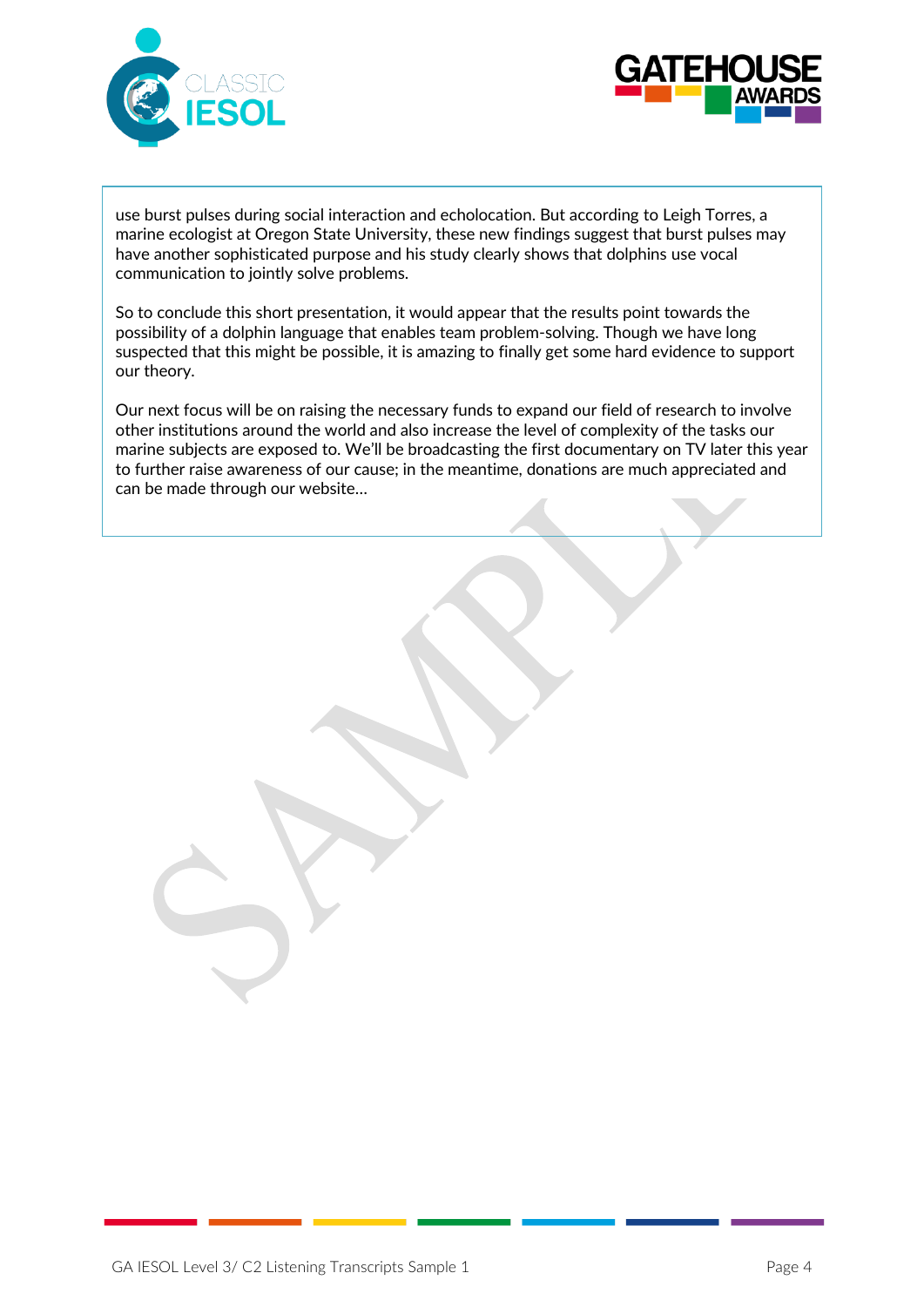



use burst pulses during social interaction and echolocation. But according to Leigh [Torres,](http://fw.oregonstate.edu/content/leigh-torres) a marine ecologist at Oregon State University, these new findings suggest that burst pulses may have another sophisticated purpose and his study clearly shows that dolphins [use vocal](https://www.newscientist.com/article/dn9128-dolphins-play-the-name-game-too/)  [communication](https://www.newscientist.com/article/dn9128-dolphins-play-the-name-game-too/) to jointly solve problems.

So to conclude this short presentation, it would appear that the results point towards the possibility of a [dolphin language](https://www.newscientist.com/article/dn25751-talking-dolphins-and-the-love-story-that-wasnt/) that enables team problem-solving. Though we have long suspected that this might be possible, it is amazing to finally get some hard evidence to support our theory.

Our next focus will be on raising the necessary funds to expand our field of research to involve other institutions around the world and also increase the level of complexity of the tasks our marine subjects are exposed to. We'll be broadcasting the first documentary on TV later this year to further raise awareness of our cause; in the meantime, donations are much appreciated and can be made through our website…